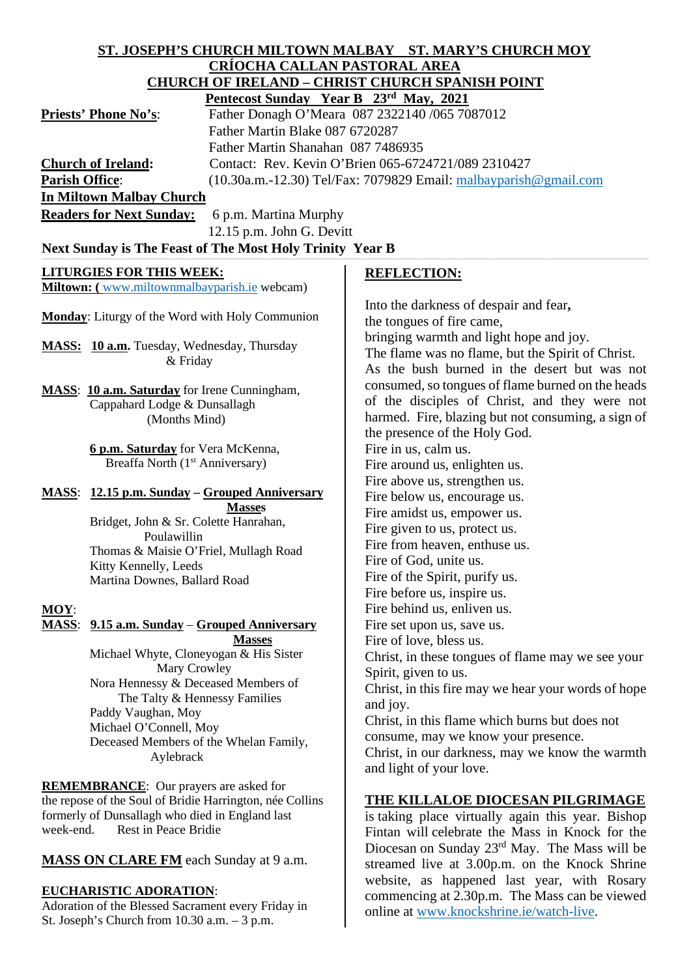| ST. JOSEPH'S CHURCH MILTOWN MALBAY ST. MARY'S CHURCH MOY |                                                                               |                                                                  |
|----------------------------------------------------------|-------------------------------------------------------------------------------|------------------------------------------------------------------|
| <b>CRÍOCHA CALLAN PASTORAL AREA</b>                      |                                                                               |                                                                  |
| <b>CHURCH OF IRELAND - CHRIST CHURCH SPANISH POINT</b>   |                                                                               |                                                                  |
|                                                          | Pentecost Sunday Year B 23rd May, 2021                                        |                                                                  |
|                                                          | <b>Priests' Phone No's:</b><br>Father Donagh O'Meara 087 2322140 /065 7087012 |                                                                  |
|                                                          | Father Martin Blake 087 6720287                                               |                                                                  |
|                                                          | Father Martin Shanahan 087 7486935                                            |                                                                  |
|                                                          | <b>Church of Ireland:</b>                                                     | Contact: Rev. Kevin O'Brien 065-6724721/089 2310427              |
| <b>Parish Office:</b>                                    |                                                                               | (10.30a.m.-12.30) Tel/Fax: 7079829 Email: malbayparish@gmail.com |
|                                                          | <b>In Miltown Malbay Church</b>                                               |                                                                  |
|                                                          | <b>Readers for Next Sunday:</b><br>6 p.m. Martina Murphy                      |                                                                  |
|                                                          | 12.15 p.m. John G. Devitt                                                     |                                                                  |
|                                                          | Next Sunday is The Feast of The Most Holy Trinity Year B                      |                                                                  |
|                                                          | <b>LITURGIES FOR THIS WEEK:</b>                                               | <b>REFLECTION:</b>                                               |
|                                                          | Miltown: (www.miltownmalbayparish.ie webcam)                                  |                                                                  |
|                                                          |                                                                               | Into the darkness of despair and fear,                           |
|                                                          | Monday: Liturgy of the Word with Holy Communion                               | the tongues of fire came,                                        |
|                                                          |                                                                               | bringing warmth and light hope and joy.                          |
|                                                          | MASS: 10 a.m. Tuesday, Wednesday, Thursday                                    | The flame was no flame, but the Spirit of Christ.                |
|                                                          | & Friday                                                                      | As the bush burned in the desert but was not                     |
|                                                          |                                                                               | consumed, so tongues of flame burned on the heads                |
|                                                          | MASS: 10 a.m. Saturday for Irene Cunningham,                                  | of the disciples of Christ, and they were not                    |
|                                                          | Cappahard Lodge & Dunsallagh<br>(Months Mind)                                 | harmed. Fire, blazing but not consuming, a sign of               |
|                                                          |                                                                               | the presence of the Holy God.                                    |
|                                                          | 6 p.m. Saturday for Vera McKenna,                                             | Fire in us, calm us.                                             |
|                                                          | Breaffa North (1 <sup>st</sup> Anniversary)                                   | Fire around us, enlighten us.                                    |
|                                                          |                                                                               | Fire above us, strengthen us.                                    |
|                                                          | <b>MASS:</b> 12.15 p.m. Sunday – Grouped Anniversary                          | Fire below us, encourage us.                                     |
|                                                          | <b>Masses</b>                                                                 | Fire amidst us, empower us.                                      |
|                                                          | Bridget, John & Sr. Colette Hanrahan,                                         | Fire given to us, protect us.                                    |
|                                                          | Poulawillin                                                                   | Fire from heaven, enthuse us.                                    |
|                                                          | Thomas & Maisie O'Friel, Mullagh Road<br>Kitty Kennelly, Leeds                | Fire of God, unite us.                                           |
|                                                          | Martina Downes, Ballard Road                                                  | Fire of the Spirit, purify us.                                   |
|                                                          |                                                                               | Fire before us, inspire us.                                      |
| MOY:                                                     |                                                                               | Fire behind us, enliven us.                                      |
| <b>MASS:</b>                                             | 9.15 a.m. Sunday – Grouped Anniversary                                        | Fire set upon us, save us.                                       |
|                                                          | <b>Masses</b>                                                                 | Fire of love, bless us.                                          |
|                                                          | Michael Whyte, Cloneyogan & His Sister                                        | Christ, in these tongues of flame may we see your                |
|                                                          | Mary Crowley                                                                  | Spirit, given to us.                                             |
|                                                          | Nora Hennessy & Deceased Members of<br>The Talty & Hennessy Families          | Christ, in this fire may we hear your words of hope              |
|                                                          | Paddy Vaughan, Moy                                                            | and joy.                                                         |
|                                                          | Michael O'Connell, Moy                                                        | Christ, in this flame which burns but does not                   |
|                                                          | Deceased Members of the Whelan Family,                                        | consume, may we know your presence.                              |
|                                                          | Aylebrack                                                                     | Christ, in our darkness, may we know the warmth                  |
|                                                          |                                                                               | and light of your love.                                          |
| <b>REMEMBRANCE:</b> Our prayers are asked for            |                                                                               |                                                                  |
| the repose of the Soul of Bridie Harrington, née Collins |                                                                               | <b>THE KILLALOE DIOCESAN PILGRIMAGE</b>                          |
| formerly of Dunsallagh who died in England last          |                                                                               | is taking place virtually again this year. Bishop                |
| Rest in Peace Bridie<br>week-end.                        |                                                                               | Fintan will celebrate the Mass in Knock for the                  |
|                                                          | <b>MASS ON CLARE FM</b> each Sunday at 9 a.m.                                 | Diocesan on Sunday $23rd$ May. The Mass will be                  |
|                                                          |                                                                               | streamed live at 3.00p.m. on the Knock Shrine                    |

website, as happened last year, with Rosary commencing at 2.30p.m. The Mass can be viewed

online at [www.knockshrine.ie/watch-live.](http://www.knockshrine.ie/watch-live)

# **EUCHARISTIC ADORATION**:

Adoration of the Blessed Sacrament every Friday in St. Joseph's Church from 10.30 a.m. – 3 p.m.